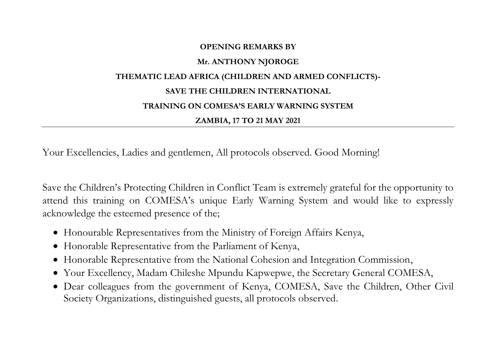## **OPENING REMARKS BY Mr. ANTHONY NJOROGE THEMATIC LEAD AFRICA (CHILDREN AND ARMED CONFLICTS)- SAVE THE CHILDREN INTERNATIONAL TRAINING ON COMESA'S EARLY WARNING SYSTEM ZAMBIA, 17 TO 21 MAY 2021**

Your Excellencies, Ladies and gentlemen, All protocols observed. Good Morning!

Save the Children's Protecting Children in Conflict Team is extremely grateful for the opportunity to attend this training on COMESA's unique Early Warning System and would like to expressly acknowledge the esteemed presence of the;

- Honourable Representatives from the Ministry of Foreign Affairs Kenya,
- Honorable Representative from the Parliament of Kenya,
- Honorable Representative from the National Cohesion and Integration Commission,
- Your Excellency, Madam Chileshe Mpundu Kapwepwe, the Secretary General COMESA,
- Dear colleagues from the government of Kenya, COMESA, Save the Children, Other Civil Society Organizations, distinguished guests, all protocols observed.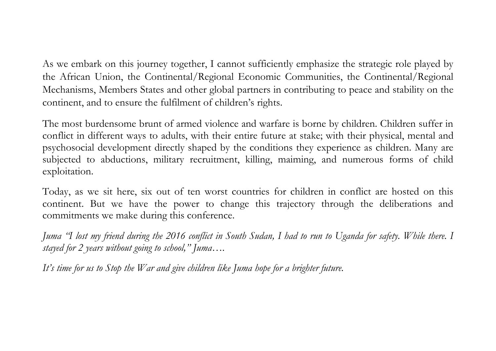As we embark on this journey together, I cannot sufficiently emphasize the strategic role played by the African Union, the Continental/Regional Economic Communities, the Continental/Regional Mechanisms, Members States and other global partners in contributing to peace and stability on the continent, and to ensure the fulfilment of children's rights.

The most burdensome brunt of armed violence and warfare is borne by children. Children suffer in conflict in different ways to adults, with their entire future at stake; with their physical, mental and psychosocial development directly shaped by the conditions they experience as children. Many are subjected to abductions, military recruitment, killing, maiming, and numerous forms of child exploitation.

Today, as we sit here, six out of ten worst countries for children in conflict are hosted on this continent. But we have the power to change this trajectory through the deliberations and commitments we make during this conference.

*Juma "I lost my friend during the 2016 conflict in South Sudan, I had to run to Uganda for safety. While there. I stayed for 2 years without going to school," Juma….* 

*It's time for us to Stop the War and give children like Juma hope for a brighter future.*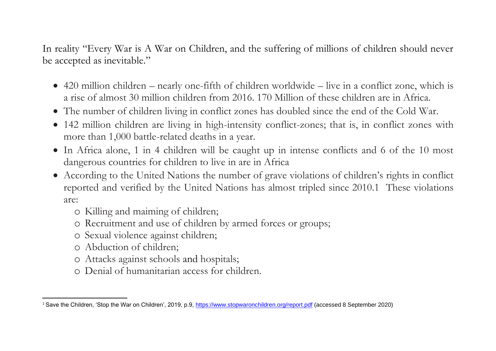In reality "Every War is A War on Children, and the suffering of millions of children should never be accepted as inevitable."

- 420 million children nearly one-fifth of children worldwide live in a conflict zone, which is a rise of almost 30 million children from 2016. 170 Million of these children are in Africa.
- The number of children living in conflict zones has doubled since the end of the Cold War.
- 142 million children are living in high-intensity conflict-zones; that is, in conflict zones with more than 1,000 battle-related deaths in a year.
- In Africa alone, 1 in 4 children will be caught up in intense conflicts and 6 of the 10 most dangerous countries for children to live in are in Africa
- According to the United Nations the number of grave violations of children's rights in conflict reported and verified by the United Nations has almost tripled since 2010.1 These violations are:
	- o Killing and maiming of children;
	- o Recruitment and use of children by armed forces or groups;
	- o Sexual violence against children;
	- o Abduction of children;
	- o Attacks against schools and hospitals;
	- o Denial of humanitarian access for children.

<sup>1</sup> Save the Children, 'Stop the War on Children', 2019, p.9, <https://www.stopwaronchildren.org/report.pdf> (accessed 8 September 2020)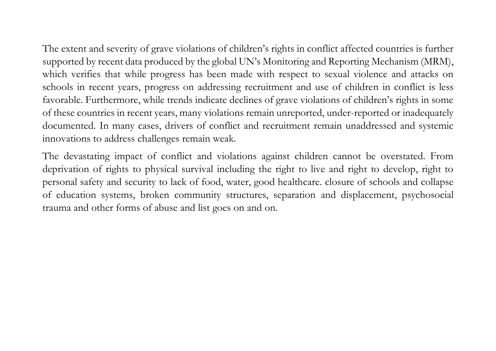The extent and severity of grave violations of children's rights in conflict affected countries is further supported by recent data produced by the global UN's Monitoring and Reporting Mechanism (MRM), which verifies that while progress has been made with respect to sexual violence and attacks on schools in recent years, progress on addressing recruitment and use of children in conflict is less favorable. Furthermore, while trends indicate declines of grave violations of children's rights in some of these countries in recent years, many violations remain unreported, under-reported or inadequately documented. In many cases, drivers of conflict and recruitment remain unaddressed and systemic innovations to address challenges remain weak.

The devastating impact of conflict and violations against children cannot be overstated. From deprivation of rights to physical survival including the right to live and right to develop, right to personal safety and security to lack of food, water, good healthcare. closure of schools and collapse of education systems, broken community structures, separation and displacement, psychosocial trauma and other forms of abuse and list goes on and on.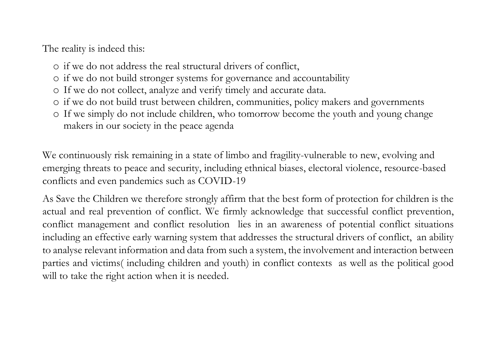The reality is indeed this:

- o if we do not address the real structural drivers of conflict,
- o if we do not build stronger systems for governance and accountability
- o If we do not collect, analyze and verify timely and accurate data.
- o if we do not build trust between children, communities, policy makers and governments
- o If we simply do not include children, who tomorrow become the youth and young change makers in our society in the peace agenda

We continuously risk remaining in a state of limbo and fragility-vulnerable to new, evolving and emerging threats to peace and security, including ethnical biases, electoral violence, resource-based conflicts and even pandemics such as COVID-19

As Save the Children we therefore strongly affirm that the best form of protection for children is the actual and real prevention of conflict. We firmly acknowledge that successful conflict prevention, conflict management and conflict resolution lies in an awareness of potential conflict situations including an effective early warning system that addresses the structural drivers of conflict, an ability to analyse relevant information and data from such a system, the involvement and interaction between parties and victims( including children and youth) in conflict contexts as well as the political good will to take the right action when it is needed.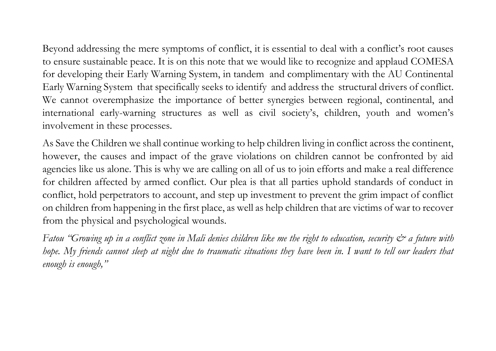Beyond addressing the mere symptoms of conflict, it is essential to deal with a conflict's root causes to ensure sustainable peace. It is on this note that we would like to recognize and applaud COMESA for developing their Early Warning System, in tandem and complimentary with the AU Continental Early Warning System that specifically seeks to identify and address the structural drivers of conflict. We cannot overemphasize the importance of better synergies between regional, continental, and international early-warning structures as well as civil society's, children, youth and women's involvement in these processes.

As Save the Children we shall continue working to help children living in conflict across the continent, however, the causes and impact of the grave violations on children cannot be confronted by aid agencies like us alone. This is why we are calling on all of us to join efforts and make a real difference for children affected by armed conflict. Our plea is that all parties uphold standards of conduct in conflict, hold perpetrators to account, and step up investment to prevent the grim impact of conflict on children from happening in the first place, as well as help children that are victims of war to recover from the physical and psychological wounds.

*Fatou* "Growing up in a conflict zone in Mali denies children like me the right to education, security  $\mathcal{Q}^*$  a future with *hope.* My friends cannot sleep at night due to traumatic situations they have been in. I want to tell our leaders that *enough is enough,"*